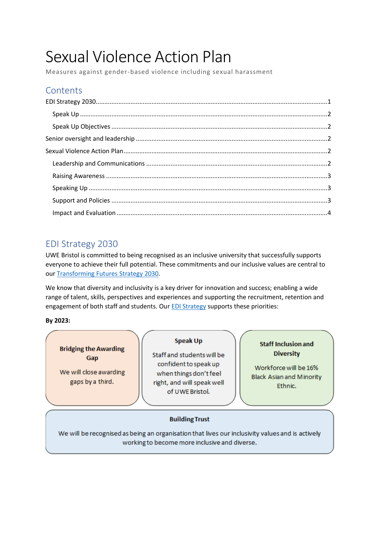# Sexual Violence Action Plan

Measures against gender-based violence including sexual harassment

## **Contents**

# <span id="page-0-0"></span>EDI Strategy 2030

UWE Bristol is committed to being recognised as an inclusive university that successfully supports everyone to achieve their full potential. These commitments and our inclusive values are central to our [Transforming Futures](https://www.uwe.ac.uk/about/values-vision-strategy/strategy-2030) Strategy 2030.

We know that diversity and inclusivity is a key driver for innovation and success; enabling a wide range of talent, skills, perspectives and experiences and supporting the recruitment, retention and engagement of both staff and students. Our **EDI Strategy** supports these priorities:

**By 2023:**

**Bridging the Awarding** Gap

We will close awarding gaps by a third.

#### **Speak Up**

Staff and students will be confident to speak up when things don't feel right, and will speak well of UWE Bristol.

#### **Staff Inclusion and Diversity**

Workforce will be 16% **Black Asian and Minority** Ethnic.

## **Building Trust**

We will be recognised as being an organisation that lives our inclusivity values and is actively working to become more inclusive and diverse.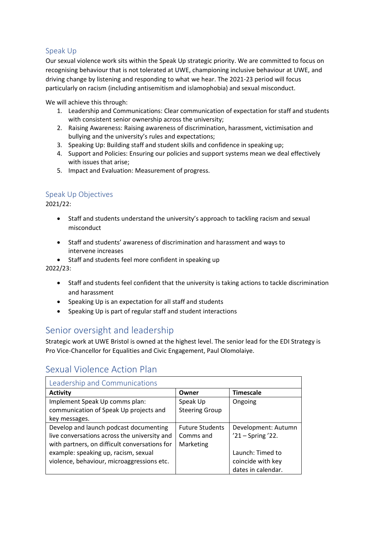## <span id="page-1-0"></span>Speak Up

Our sexual violence work sits within the Speak Up strategic priority. We are committed to focus on recognising behaviour that is not tolerated at UWE, championing inclusive behaviour at UWE, and driving change by listening and responding to what we hear. The 2021-23 period will focus particularly on racism (including antisemitism and islamophobia) and sexual misconduct.

We will achieve this through:

- 1. Leadership and Communications: Clear communication of expectation for staff and students with consistent senior ownership across the university;
- 2. Raising Awareness: Raising awareness of discrimination, harassment, victimisation and bullying and the university's rules and expectations;
- 3. Speaking Up: Building staff and student skills and confidence in speaking up;
- 4. Support and Policies: Ensuring our policies and support systems mean we deal effectively with issues that arise;
- 5. Impact and Evaluation: Measurement of progress.

## <span id="page-1-1"></span>Speak Up Objectives

2021/22:

- Staff and students understand the university's approach to tackling racism and sexual misconduct
- Staff and students' awareness of discrimination and harassment and ways to intervene increases

• Staff and students feel more confident in speaking up

2022/23:

- Staff and students feel confident that the university is taking actions to tackle discrimination and harassment
- Speaking Up is an expectation for all staff and students
- Speaking Up is part of regular staff and student interactions

## <span id="page-1-2"></span>Senior oversight and leadership

Strategic work at UWE Bristol is owned at the highest level. The senior lead for the EDI Strategy is Pro Vice-Chancellor for Equalities and Civic Engagement, Paul Olomolaiye.

## <span id="page-1-3"></span>Sexual Violence Action Plan

<span id="page-1-4"></span>

| Leadership and Communications                 |                        |                        |  |  |
|-----------------------------------------------|------------------------|------------------------|--|--|
| <b>Activity</b>                               | Owner                  | <b>Timescale</b>       |  |  |
| Implement Speak Up comms plan:                | Speak Up               | Ongoing                |  |  |
| communication of Speak Up projects and        | <b>Steering Group</b>  |                        |  |  |
| key messages.                                 |                        |                        |  |  |
| Develop and launch podcast documenting        | <b>Future Students</b> | Development: Autumn    |  |  |
| live conversations across the university and  | Comms and              | $'21 -$ Spring $'22$ . |  |  |
| with partners, on difficult conversations for | Marketing              |                        |  |  |
| example: speaking up, racism, sexual          |                        | Launch: Timed to       |  |  |
| violence, behaviour, microaggressions etc.    |                        | coincide with key      |  |  |
|                                               |                        | dates in calendar.     |  |  |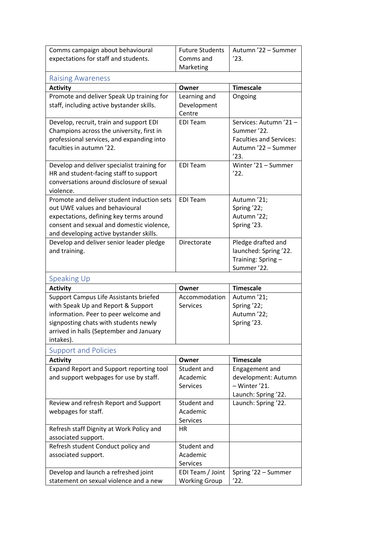<span id="page-2-2"></span><span id="page-2-1"></span><span id="page-2-0"></span>

| Comms campaign about behavioural                       | <b>Future Students</b> | Autumn '22 - Summer            |
|--------------------------------------------------------|------------------------|--------------------------------|
| expectations for staff and students.                   | Comms and              | '23.                           |
|                                                        | Marketing              |                                |
| <b>Raising Awareness</b>                               |                        |                                |
| <b>Activity</b>                                        | Owner                  | <b>Timescale</b>               |
| Promote and deliver Speak Up training for              | Learning and           | Ongoing                        |
| staff, including active bystander skills.              | Development            |                                |
|                                                        | Centre                 |                                |
| Develop, recruit, train and support EDI                | <b>EDI Team</b>        | Services: Autumn '21 -         |
| Champions across the university, first in              |                        | Summer '22.                    |
| professional services, and expanding into              |                        | <b>Faculties and Services:</b> |
| faculties in autumn '22.                               |                        | Autumn '22 - Summer            |
|                                                        |                        | '23.                           |
| Develop and deliver specialist training for            | <b>EDI Team</b>        | Winter '21 - Summer            |
| HR and student-facing staff to support                 |                        | '22.                           |
| conversations around disclosure of sexual<br>violence. |                        |                                |
| Promote and deliver student induction sets             | <b>EDI Team</b>        | Autumn '21;                    |
| out UWE values and behavioural                         |                        | Spring '22;                    |
| expectations, defining key terms around                |                        | Autumn '22;                    |
| consent and sexual and domestic violence,              |                        | Spring '23.                    |
| and developing active bystander skills.                |                        |                                |
| Develop and deliver senior leader pledge               | Directorate            | Pledge drafted and             |
| and training.                                          |                        | launched: Spring '22.          |
|                                                        |                        | Training: Spring-              |
|                                                        |                        | Summer '22.                    |
| <b>Speaking Up</b>                                     |                        |                                |
| <b>Activity</b>                                        | Owner                  | <b>Timescale</b>               |
| Support Campus Life Assistants briefed                 | Accommodation          | Autumn '21;                    |
| with Speak Up and Report & Support                     | <b>Services</b>        | Spring '22;                    |
| information. Peer to peer welcome and                  |                        | Autumn '22;                    |
| signposting chats with students newly                  |                        | Spring '23.                    |
| arrived in halls (September and January                |                        |                                |
| intakes).                                              |                        |                                |
| <b>Support and Policies</b>                            |                        |                                |
| <b>Activity</b>                                        | Owner                  | <b>Timescale</b>               |
| Expand Report and Support reporting tool               | Student and            | Engagement and                 |
| and support webpages for use by staff.                 | Academic               | development: Autumn            |
|                                                        | <b>Services</b>        | - Winter '21.                  |
|                                                        |                        | Launch: Spring '22.            |
| Review and refresh Report and Support                  | Student and            | Launch: Spring '22.            |
| webpages for staff.                                    | Academic               |                                |
|                                                        | Services               |                                |
| Refresh staff Dignity at Work Policy and               | <b>HR</b>              |                                |
| associated support.                                    |                        |                                |
| Refresh student Conduct policy and                     | Student and            |                                |
| associated support.                                    | Academic               |                                |
|                                                        | <b>Services</b>        |                                |
| Develop and launch a refreshed joint                   | EDI Team / Joint       | Spring '22 - Summer            |
| statement on sexual violence and a new                 | <b>Working Group</b>   | '22.                           |